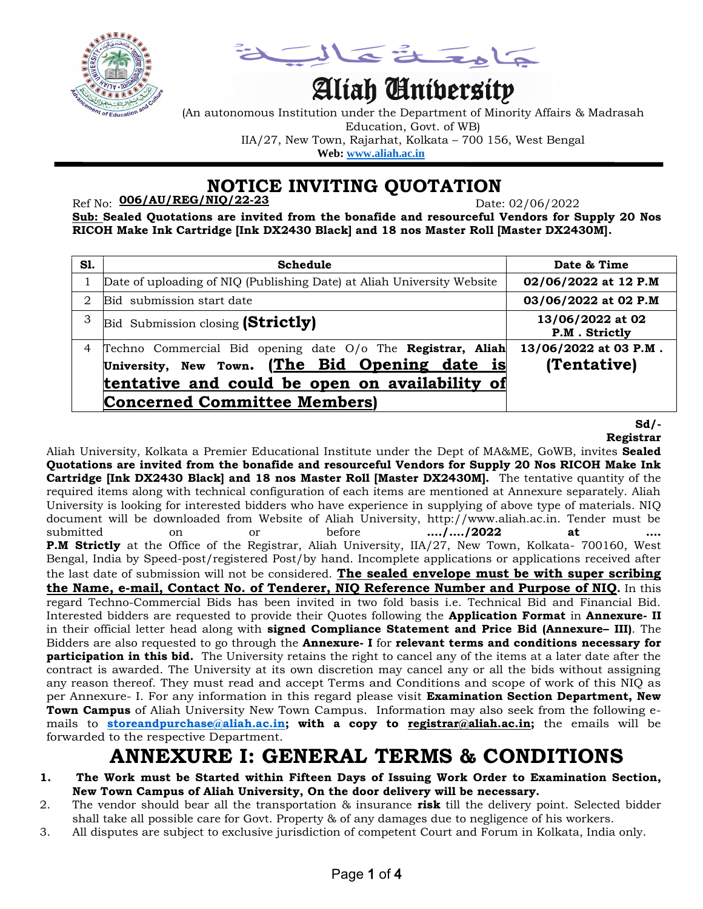

a å Tola

# Aliah University

(An autonomous Institution under the Department of Minority Affairs & Madrasah Education, Govt. of WB) IIA/27, New Town, Rajarhat, Kolkata – 700 156, West Bengal  **Web: [www.aliah.ac.in](http://www.aliah.ac.in/)**

 **NOTICE INVITING QUOTATION**

Ref No: Date: 02/06/2022 **006/AU/REG/NIQ/22-23**

**Sub: Sealed Quotations are invited from the bonafide and resourceful Vendors for Supply 20 Nos RICOH Make Ink Cartridge [Ink DX2430 Black] and 18 nos Master Roll [Master DX2430M].**

| S1. | Schedule                                                                                                                                                                                               | Date & Time                          |
|-----|--------------------------------------------------------------------------------------------------------------------------------------------------------------------------------------------------------|--------------------------------------|
| 1   | Date of uploading of NIQ (Publishing Date) at Aliah University Website                                                                                                                                 | 02/06/2022 at 12 P.M                 |
| 2   | Bid submission start date                                                                                                                                                                              | 03/06/2022 at 02 P.M                 |
| 3   | Bid Submission closing (Strictly)                                                                                                                                                                      | 13/06/2022 at 02<br>P.M. Strictly    |
| 4   | Techno Commercial Bid opening date O/o The Registrar, Aliah<br>University, New Town. (The Bid Opening date is<br>tentative and could be open on availability of<br><b>Concerned Committee Members)</b> | 13/06/2022 at 03 P.M.<br>(Tentative) |

**Sd/- Registrar**

Aliah University, Kolkata a Premier Educational Institute under the Dept of MA&ME, GoWB, invites **Sealed Quotations are invited from the bonafide and resourceful Vendors for Supply 20 Nos RICOH Make Ink Cartridge [Ink DX2430 Black] and 18 nos Master Roll [Master DX2430M].** The tentative quantity of the required items along with technical configuration of each items are mentioned at Annexure separately. Aliah University is looking for interested bidders who have experience in supplying of above type of materials. NIQ document will be downloaded from Website of Aliah University, http://www.aliah.ac.in. Tender must be submitted on or before **…./…./2022 at …. P.M Strictly** at the Office of the Registrar, Aliah University, IIA/27, New Town, Kolkata- 700160, West Bengal, India by Speed-post/registered Post/by hand. Incomplete applications or applications received after the last date of submission will not be considered. **The sealed envelope must be with super scribing the Name, e-mail, Contact No. of Tenderer, NIQ Reference Number and Purpose of NIQ.** In this regard Techno-Commercial Bids has been invited in two fold basis i.e. Technical Bid and Financial Bid. Interested bidders are requested to provide their Quotes following the **Application Format** in **Annexure- II** in their official letter head along with **signed Compliance Statement and Price Bid (Annexure– III)**. The Bidders are also requested to go through the **Annexure- I** for **relevant terms and conditions necessary for participation in this bid.** The University retains the right to cancel any of the items at a later date after the contract is awarded. The University at its own discretion may cancel any or all the bids without assigning any reason thereof. They must read and accept Terms and Conditions and scope of work of this NIQ as per Annexure- I. For any information in this regard please visit **Examination Section Department, New Town Campus** of Aliah University New Town Campus. Information may also seek from the following emails to **[storeandpurchase@aliah.ac.in;](mailto:storeandpurchase@aliah.ac.in) with a copy to [registrar@aliah.ac.in;](mailto:registrar@aliah.ac.in)** the emails will be forwarded to the respective Department.

## **ANNEXURE I: GENERAL TERMS & CONDITIONS**

- **1. The Work must be Started within Fifteen Days of Issuing Work Order to Examination Section, New Town Campus of Aliah University, On the door delivery will be necessary.**
- 2. The vendor should bear all the transportation & insurance **risk** till the delivery point. Selected bidder shall take all possible care for Govt. Property & of any damages due to negligence of his workers.
- 3. All disputes are subject to exclusive jurisdiction of competent Court and Forum in Kolkata, India only.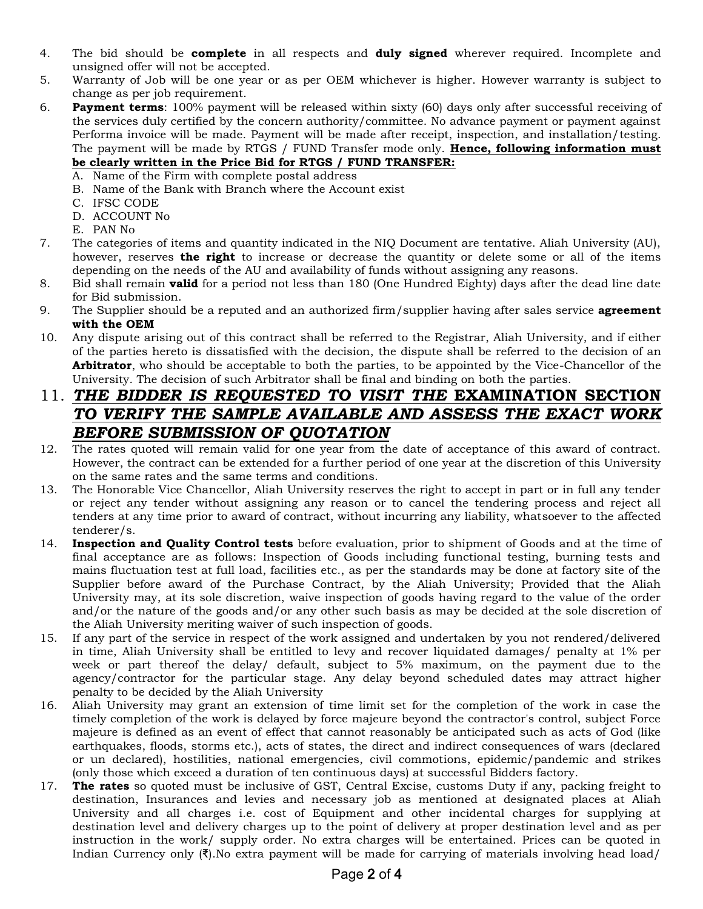- 4. The bid should be **complete** in all respects and **duly signed** wherever required. Incomplete and unsigned offer will not be accepted.
- 5. Warranty of Job will be one year or as per OEM whichever is higher. However warranty is subject to change as per job requirement.
- 6. **Payment terms**: 100% payment will be released within sixty (60) days only after successful receiving of the services duly certified by the concern authority/committee. No advance payment or payment against Performa invoice will be made. Payment will be made after receipt, inspection, and installation/testing. The payment will be made by RTGS / FUND Transfer mode only. **Hence, following information must be clearly written in the Price Bid for RTGS / FUND TRANSFER:**
	- A. Name of the Firm with complete postal address
	- B. Name of the Bank with Branch where the Account exist
	- C. IFSC CODE
	- D. ACCOUNT No
	- E. PAN No
- 7. The categories of items and quantity indicated in the NIQ Document are tentative. Aliah University (AU), however, reserves **the right** to increase or decrease the quantity or delete some or all of the items depending on the needs of the AU and availability of funds without assigning any reasons.
- 8. Bid shall remain **valid** for a period not less than 180 (One Hundred Eighty) days after the dead line date for Bid submission.
- 9. The Supplier should be a reputed and an authorized firm/supplier having after sales service **agreement with the OEM**
- 10. Any dispute arising out of this contract shall be referred to the Registrar, Aliah University, and if either of the parties hereto is dissatisfied with the decision, the dispute shall be referred to the decision of an **Arbitrator**, who should be acceptable to both the parties, to be appointed by the Vice-Chancellor of the University. The decision of such Arbitrator shall be final and binding on both the parties.

### 11. *THE BIDDER IS REQUESTED TO VISIT THE* **EXAMINATION SECTION** *TO VERIFY THE SAMPLE AVAILABLE AND ASSESS THE EXACT WORK BEFORE SUBMISSION OF QUOTATION*

- 12. The rates quoted will remain valid for one year from the date of acceptance of this award of contract. However, the contract can be extended for a further period of one year at the discretion of this University on the same rates and the same terms and conditions.
- 13. The Honorable Vice Chancellor, Aliah University reserves the right to accept in part or in full any tender or reject any tender without assigning any reason or to cancel the tendering process and reject all tenders at any time prior to award of contract, without incurring any liability, whatsoever to the affected tenderer/s.
- 14. **Inspection and Quality Control tests** before evaluation, prior to shipment of Goods and at the time of final acceptance are as follows: Inspection of Goods including functional testing, burning tests and mains fluctuation test at full load, facilities etc., as per the standards may be done at factory site of the Supplier before award of the Purchase Contract, by the Aliah University; Provided that the Aliah University may, at its sole discretion, waive inspection of goods having regard to the value of the order and/or the nature of the goods and/or any other such basis as may be decided at the sole discretion of the Aliah University meriting waiver of such inspection of goods.
- 15. If any part of the service in respect of the work assigned and undertaken by you not rendered/delivered in time, Aliah University shall be entitled to levy and recover liquidated damages/ penalty at 1% per week or part thereof the delay/ default, subject to 5% maximum, on the payment due to the agency/contractor for the particular stage. Any delay beyond scheduled dates may attract higher penalty to be decided by the Aliah University
- 16. Aliah University may grant an extension of time limit set for the completion of the work in case the timely completion of the work is delayed by force majeure beyond the contractor's control, subject Force majeure is defined as an event of effect that cannot reasonably be anticipated such as acts of God (like earthquakes, floods, storms etc.), acts of states, the direct and indirect consequences of wars (declared or un declared), hostilities, national emergencies, civil commotions, epidemic/pandemic and strikes (only those which exceed a duration of ten continuous days) at successful Bidders factory.
- 17. **The rates** so quoted must be inclusive of GST, Central Excise, customs Duty if any, packing freight to destination, Insurances and levies and necessary job as mentioned at designated places at Aliah University and all charges i.e. cost of Equipment and other incidental charges for supplying at destination level and delivery charges up to the point of delivery at proper destination level and as per instruction in the work/ supply order. No extra charges will be entertained. Prices can be quoted in Indian Currency only (₹).No extra payment will be made for carrying of materials involving head load/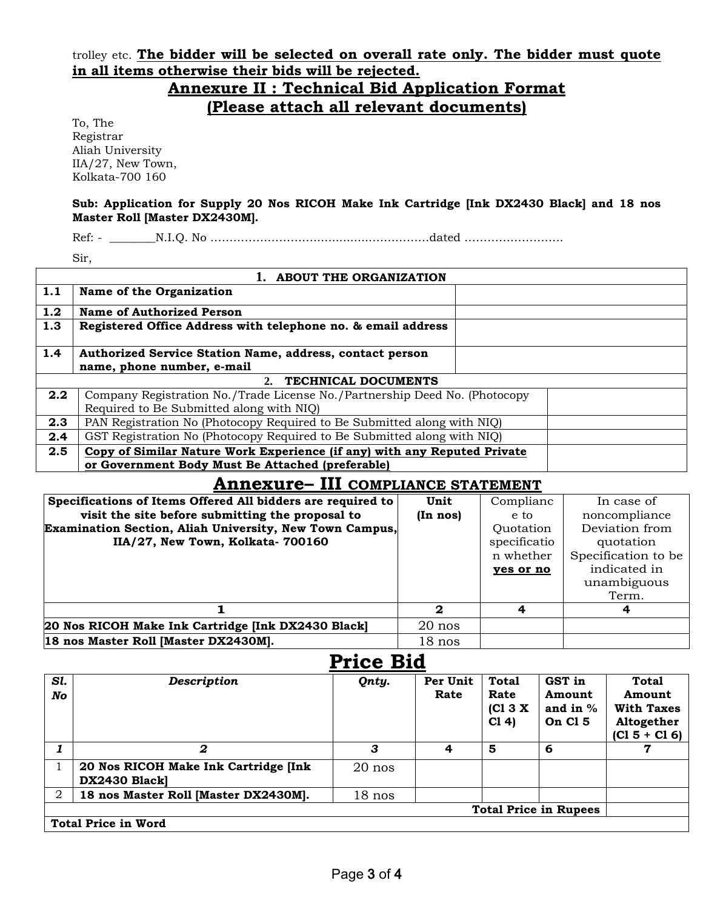trolley etc. **The bidder will be selected on overall rate only. The bidder must quote in all items otherwise their bids will be rejected.**

### **Annexure II : Technical Bid Application Format (Please attach all relevant documents)**

To, The Registrar Aliah University IIA/27, New Town, Kolkata-700 160

#### **Sub: Application for Supply 20 Nos RICOH Make Ink Cartridge [Ink DX2430 Black] and 18 nos Master Roll [Master DX2430M].**

Ref: - \_\_\_\_\_\_\_\_\_\_\_N.I.Q. No ………………………………………………………………………dated …………………………………………………

Sir,

|                           | 1. ABOUT THE ORGANIZATION                                                  |  |  |
|---------------------------|----------------------------------------------------------------------------|--|--|
| 1.1                       | Name of the Organization                                                   |  |  |
| 1.2                       | <b>Name of Authorized Person</b>                                           |  |  |
| 1.3                       | Registered Office Address with telephone no. & email address               |  |  |
| 1.4                       | Authorized Service Station Name, address, contact person                   |  |  |
|                           | name, phone number, e-mail                                                 |  |  |
| TECHNICAL DOCUMENTS<br>2. |                                                                            |  |  |
| 2.2                       | Company Registration No./Trade License No./Partnership Deed No. (Photocopy |  |  |
|                           | Required to Be Submitted along with NIQ)                                   |  |  |
| 2.3                       | PAN Registration No (Photocopy Required to Be Submitted along with NIQ)    |  |  |
| 2.4                       | GST Registration No (Photocopy Required to Be Submitted along with NIQ)    |  |  |
| 2.5                       | Copy of Similar Nature Work Experience (if any) with any Reputed Private   |  |  |
|                           | or Government Body Must Be Attached (preferable)                           |  |  |
|                           |                                                                            |  |  |

#### **Annexure– III COMPLIANCE STATEMENT**

| Specifications of Items Offered All bidders are required to | Unit     | Complianc    | In case of          |
|-------------------------------------------------------------|----------|--------------|---------------------|
| visit the site before submitting the proposal to            | (In nos) | e to         | noncompliance       |
| Examination Section, Aliah University, New Town Campus,     |          | Quotation    | Deviation from      |
| IIA/27, New Town, Kolkata- 700160                           |          | specificatio | quotation           |
|                                                             |          | n whether    | Specification to be |
|                                                             |          | yes or no    | indicated in        |
|                                                             |          |              | unambiguous         |
|                                                             |          |              | Term.               |
|                                                             | 2        |              | 4                   |
| 20 Nos RICOH Make Ink Cartridge [Ink DX2430 Black]          | $20$ nos |              |                     |
| 18 nos Master Roll [Master DX2430M].                        | $18$ nos |              |                     |

|           |                                                      | <b>Price Bid</b> |                  |                                             |                                           |                                                                       |
|-----------|------------------------------------------------------|------------------|------------------|---------------------------------------------|-------------------------------------------|-----------------------------------------------------------------------|
| Sl.<br>No | <b>Description</b>                                   | Qnty.            | Per Unit<br>Rate | <b>Total</b><br>Rate<br>[CI 3 X]<br>$C1$ 4) | GST in<br>Amount<br>and in $%$<br>On Cl 5 | Total<br>Amount<br><b>With Taxes</b><br>Altogether<br>$(C1 5 + C1 6)$ |
|           | 2                                                    | З                | 4                | 5                                           | 6                                         | 7                                                                     |
|           | 20 Nos RICOH Make Ink Cartridge [Ink<br>DX2430 Black | $20$ nos         |                  |                                             |                                           |                                                                       |
| 2         | 18 nos Master Roll [Master DX2430M].                 | $18$ nos         |                  |                                             |                                           |                                                                       |
|           |                                                      |                  |                  |                                             | <b>Total Price in Rupees</b>              |                                                                       |
|           | <b>Total Price in Word</b>                           |                  |                  |                                             |                                           |                                                                       |